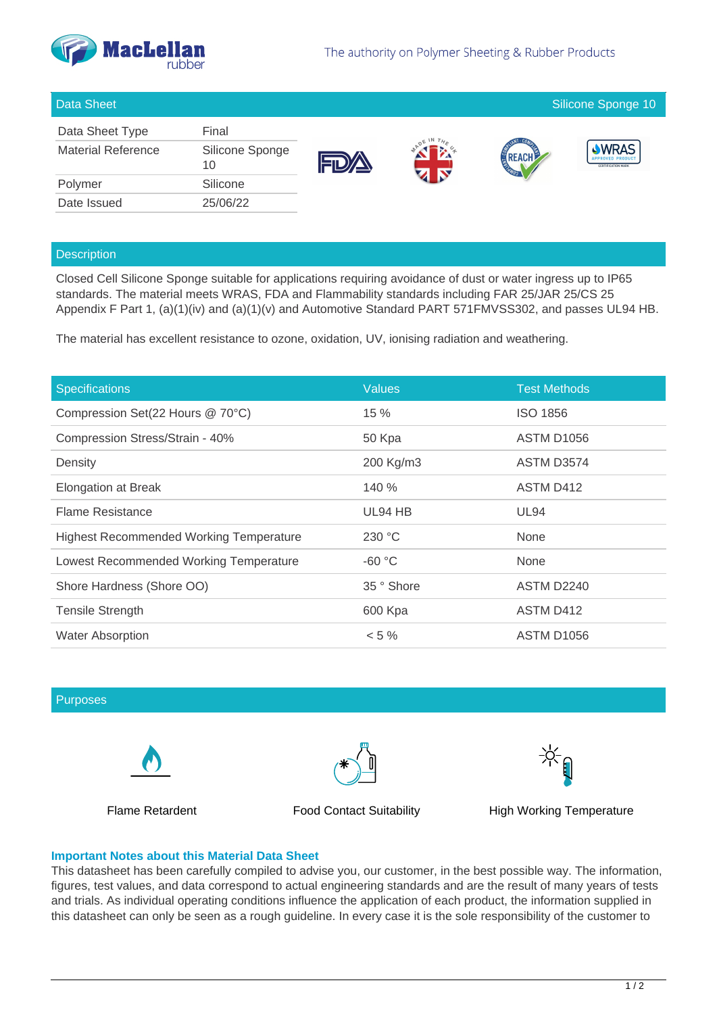

### Data Sheet Silicone Sponge 10

| Data Sheet Type           | Final                 |
|---------------------------|-----------------------|
| <b>Material Reference</b> | Silicone Sponge<br>10 |
| Polymer                   | Silicone              |
| Date Issued               | 25/06/22              |







# **Description**

Closed Cell Silicone Sponge suitable for applications requiring avoidance of dust or water ingress up to IP65 standards. The material meets WRAS, FDA and Flammability standards including FAR 25/JAR 25/CS 25 Appendix F Part 1, (a)(1)(iv) and (a)(1)(v) and Automotive Standard PART 571FMVSS302, and passes UL94 HB.

The material has excellent resistance to ozone, oxidation, UV, ionising radiation and weathering.

| <b>Specifications</b>                          | <b>Values</b> | <b>Test Methods</b>    |
|------------------------------------------------|---------------|------------------------|
| Compression Set(22 Hours @ 70°C)               | 15%           | <b>ISO 1856</b>        |
| Compression Stress/Strain - 40%                | 50 Kpa        | <b>ASTM D1056</b>      |
| Density                                        | 200 Kg/m3     | ASTM D3574             |
| <b>Elongation at Break</b>                     | 140 %         | <b>ASTM D412</b>       |
| <b>Flame Resistance</b>                        | UL94 HB       | <b>UL94</b>            |
| <b>Highest Recommended Working Temperature</b> | 230 °C        | None                   |
| Lowest Recommended Working Temperature         | $-60 °C$      | None                   |
| Shore Hardness (Shore OO)                      | 35 ° Shore    | <b>ASTM D2240</b>      |
| <b>Tensile Strength</b>                        | 600 Kpa       | <b>ASTM D412</b>       |
| <b>Water Absorption</b>                        | $< 5 \%$      | ASTM D <sub>1056</sub> |

### Purposes





Flame Retardent Food Contact Suitability High Working Temperature



## **Important Notes about this Material Data Sheet**

This datasheet has been carefully compiled to advise you, our customer, in the best possible way. The information, figures, test values, and data correspond to actual engineering standards and are the result of many years of tests and trials. As individual operating conditions influence the application of each product, the information supplied in this datasheet can only be seen as a rough guideline. In every case it is the sole responsibility of the customer to